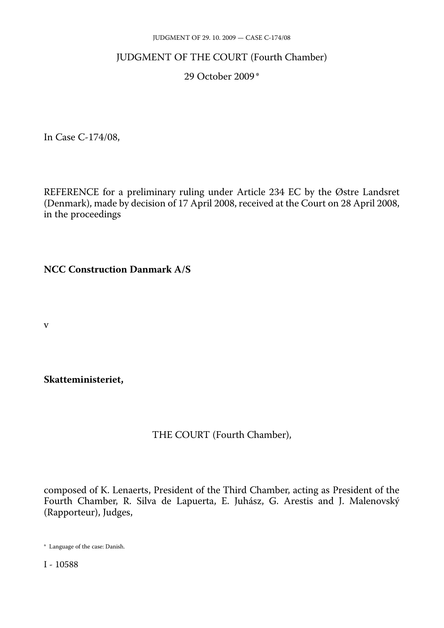#### JUDGMENT OF 29. 10. 2009 — CASE C-174/08

### JUDGMENT OF THE COURT (Fourth Chamber)

### 29 October 2009 \*

In Case C-174/08,

REFERENCE for a preliminary ruling under Article 234 EC by the Østre Landsret (Denmark), made by decision of 17 April 2008, received at the Court on 28 April 2008, in the proceedings

**NCC Construction Danmark A/S** 

v

**Skatteministeriet,** 

# THE COURT (Fourth Chamber),

composed of K. Lenaerts, President of the Third Chamber, acting as President of the Fourth Chamber, R. Silva de Lapuerta, E. Juhász, G. Arestis and J. Malenovský (Rapporteur), Judges,

<sup>\*</sup> Language of the case: Danish.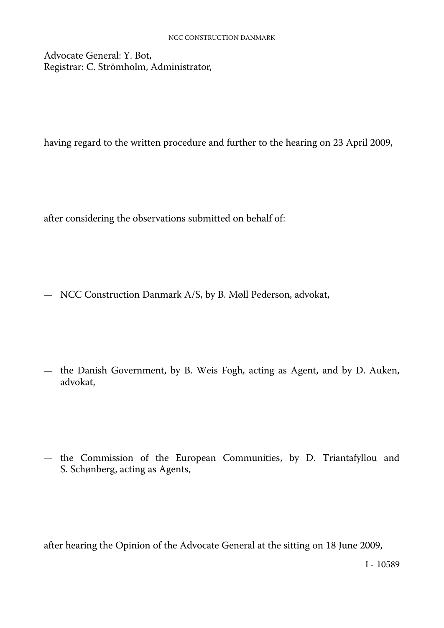Advocate General: Y. Bot, Registrar: C. Strömholm, Administrator,

having regard to the written procedure and further to the hearing on 23 April 2009,

after considering the observations submitted on behalf of:

— NCC Construction Danmark A/S, by B. Møll Pederson, advokat,

— the Danish Government, by B. Weis Fogh, acting as Agent, and by D. Auken, advokat,

— the Commission of the European Communities, by D. Triantafyllou and S. Schønberg, acting as Agents,

after hearing the Opinion of the Advocate General at the sitting on 18 June 2009,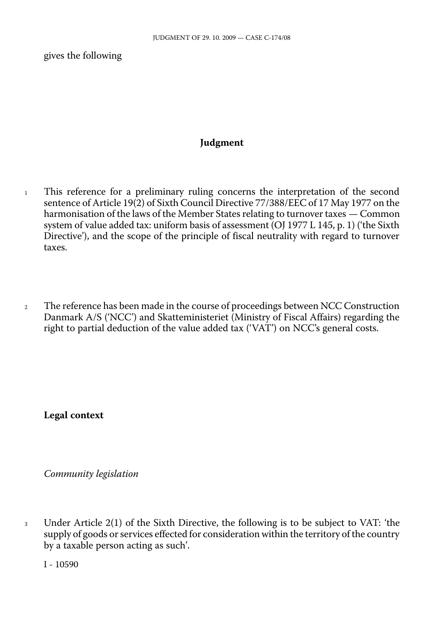gives the following

### **Judgment**

- <sup>1</sup> This reference for a preliminary ruling concerns the interpretation of the second sentence of Article 19(2) of Sixth Council Directive 77/388/EEC of 17 May 1977 on the harmonisation of the laws of the Member States relating to turnover taxes — Common system of value added tax: uniform basis of assessment (OJ 1977 L 145, p. 1) ('the Sixth Directive'), and the scope of the principle of fiscal neutrality with regard to turnover taxes.
- <sup>2</sup> The reference has been made in the course of proceedings between NCC Construction Danmark A/S ('NCC') and Skatteministeriet (Ministry of Fiscal Affairs) regarding the right to partial deduction of the value added tax ('VAT') on NCC's general costs.

**Legal context** 

*Community legislation* 

<sup>3</sup> Under Article 2(1) of the Sixth Directive, the following is to be subject to VAT: 'the supply of goods or services effected for consideration within the territory of the country by a taxable person acting as such'.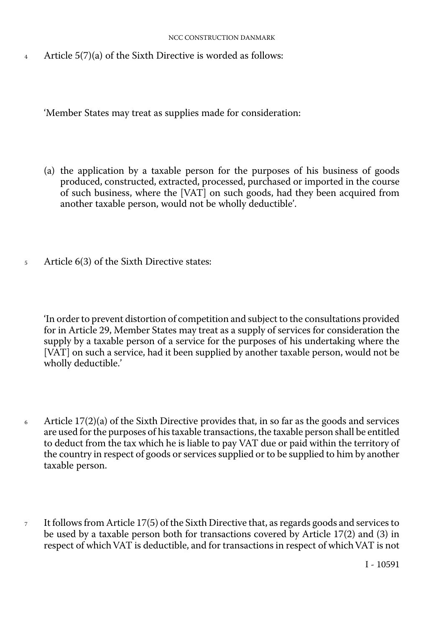#### NCC CONSTRUCTION DANMARK

<sup>4</sup> Article 5(7)(a) of the Sixth Directive is worded as follows:

'Member States may treat as supplies made for consideration:

- (a) the application by a taxable person for the purposes of his business of goods produced, constructed, extracted, processed, purchased or imported in the course of such business, where the [VAT] on such goods, had they been acquired from another taxable person, would not be wholly deductible'.
- <sup>5</sup> Article 6(3) of the Sixth Directive states:

'In order to prevent distortion of competition and subject to the consultations provided for in Article 29, Member States may treat as a supply of services for consideration the supply by a taxable person of a service for the purposes of his undertaking where the [VAT] on such a service, had it been supplied by another taxable person, would not be wholly deductible.'

- 6 Article  $17(2)(a)$  of the Sixth Directive provides that, in so far as the goods and services are used for the purposes of his taxable transactions, the taxable person shall be entitled to deduct from the tax which he is liable to pay VAT due or paid within the territory of the country in respect of goods or services supplied or to be supplied to him by another taxable person.
- <sup>7</sup> It follows from Article 17(5) of the Sixth Directive that, as regards goods and services to be used by a taxable person both for transactions covered by Article 17(2) and (3) in respect of which VAT is deductible, and for transactions in respect of which VAT is not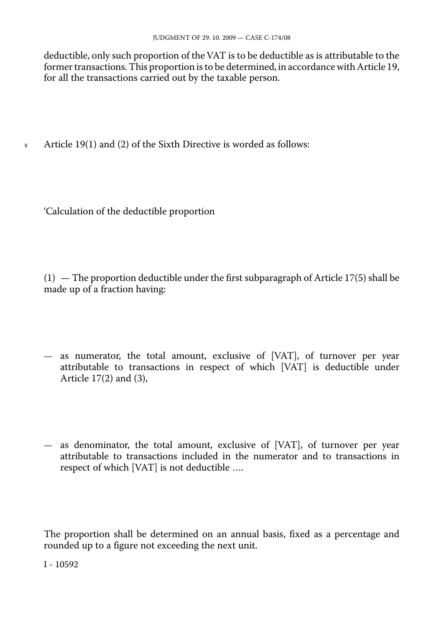deductible, only such proportion of the VAT is to be deductible as is attributable to the former transactions. This proportion is to be determined, in accordance with Article 19, for all the transactions carried out by the taxable person.

8 Article 19(1) and (2) of the Sixth Directive is worded as follows:

'Calculation of the deductible proportion

 $(1)$  — The proportion deductible under the first subparagraph of Article 17(5) shall be made up of a fraction having:

- as numerator, the total amount, exclusive of [VAT], of turnover per year attributable to transactions in respect of which [VAT] is deductible under Article 17(2) and (3),
- as denominator, the total amount, exclusive of [VAT], of turnover per year attributable to transactions included in the numerator and to transactions in respect of which [VAT] is not deductible ….

The proportion shall be determined on an annual basis, fixed as a percentage and rounded up to a figure not exceeding the next unit.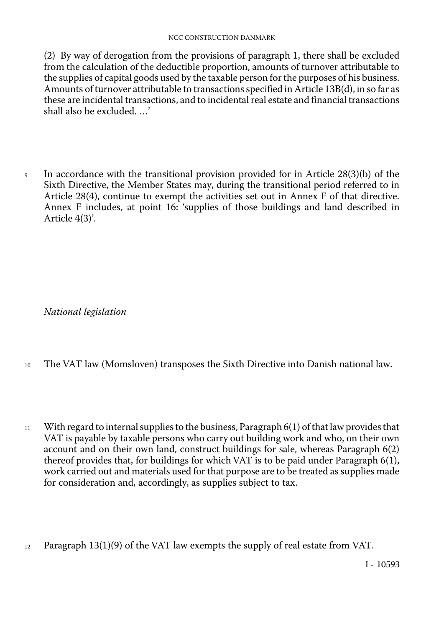(2) By way of derogation from the provisions of paragraph 1, there shall be excluded from the calculation of the deductible proportion, amounts of turnover attributable to the supplies of capital goods used by the taxable person for the purposes of his business. Amounts of turnover attributable to transactions specified in Article 13B(d), in so far as these are incidental transactions, and to incidental real estate and financial transactions shall also be excluded. …'

<sup>9</sup> In accordance with the transitional provision provided for in Article 28(3)(b) of the Sixth Directive, the Member States may, during the transitional period referred to in Article 28(4), continue to exempt the activities set out in Annex F of that directive. Annex F includes, at point 16: 'supplies of those buildings and land described in Article 4(3)'.

*National legislation* 

- <sup>10</sup> The VAT law (Momsloven) transposes the Sixth Directive into Danish national law.
- $11$  With regard to internal supplies to the business, Paragraph 6(1) of that law provides that VAT is payable by taxable persons who carry out building work and who, on their own account and on their own land, construct buildings for sale, whereas Paragraph 6(2) thereof provides that, for buildings for which VAT is to be paid under Paragraph 6(1), work carried out and materials used for that purpose are to be treated as supplies made for consideration and, accordingly, as supplies subject to tax.
- $12$  Paragraph 13(1)(9) of the VAT law exempts the supply of real estate from VAT.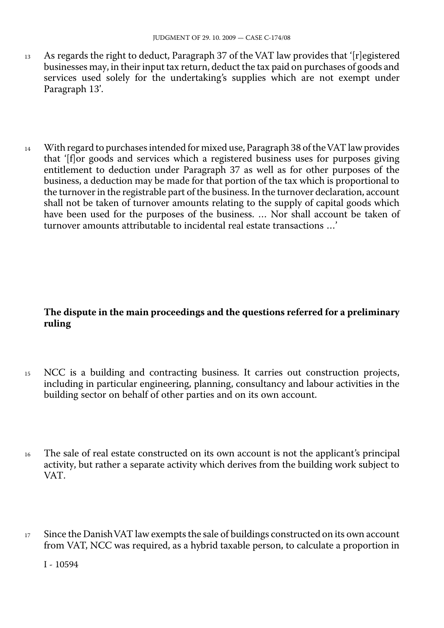- $13$  As regards the right to deduct, Paragraph 37 of the VAT law provides that '[r]egistered businesses may, in their input tax return, deduct the tax paid on purchases of goods and services used solely for the undertaking's supplies which are not exempt under Paragraph 13'.
- 14 With regard to purchases intended for mixed use, Paragraph 38 of the VAT law provides that '[f]or goods and services which a registered business uses for purposes giving entitlement to deduction under Paragraph 37 as well as for other purposes of the business, a deduction may be made for that portion of the tax which is proportional to the turnover in the registrable part of the business. In the turnover declaration, account shall not be taken of turnover amounts relating to the supply of capital goods which have been used for the purposes of the business. ... Nor shall account be taken of turnover amounts attributable to incidental real estate transactions …'

# **The dispute in the main proceedings and the questions referred for a preliminary ruling**

- <sup>15</sup> NCC is a building and contracting business. It carries out construction projects, including in particular engineering, planning, consultancy and labour activities in the building sector on behalf of other parties and on its own account.
- <sup>16</sup> The sale of real estate constructed on its own account is not the applicant's principal activity, but rather a separate activity which derives from the building work subject to VAT.
- 17 Since the Danish VAT law exempts the sale of buildings constructed on its own account from VAT, NCC was required, as a hybrid taxable person, to calculate a proportion in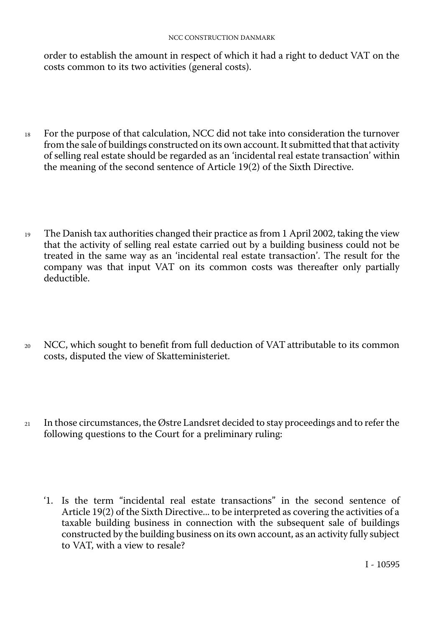#### NCC CONSTRUCTION DANMARK

order to establish the amount in respect of which it had a right to deduct VAT on the costs common to its two activities (general costs).

- <sup>18</sup> For the purpose of that calculation, NCC did not take into consideration the turnover from the sale of buildings constructed on its own account. It submitted that that activity of selling real estate should be regarded as an 'incidental real estate transaction' within the meaning of the second sentence of Article 19(2) of the Sixth Directive.
- <sup>19</sup> The Danish tax authorities changed their practice as from 1 April 2002, taking the view that the activity of selling real estate carried out by a building business could not be treated in the same way as an 'incidental real estate transaction'. The result for the company was that input VAT on its common costs was thereafter only partially deductible.
- <sup>20</sup> NCC, which sought to benefit from full deduction of VAT attributable to its common costs, disputed the view of Skatteministeriet.
- <sup>21</sup> In those circumstances, the Østre Landsret decided to stay proceedings and to refer the following questions to the Court for a preliminary ruling:
	- '1. Is the term "incidental real estate transactions" in the second sentence of Article 19(2) of the Sixth Directive... to be interpreted as covering the activities of a taxable building business in connection with the subsequent sale of buildings constructed by the building business on its own account, as an activity fully subject to VAT, with a view to resale?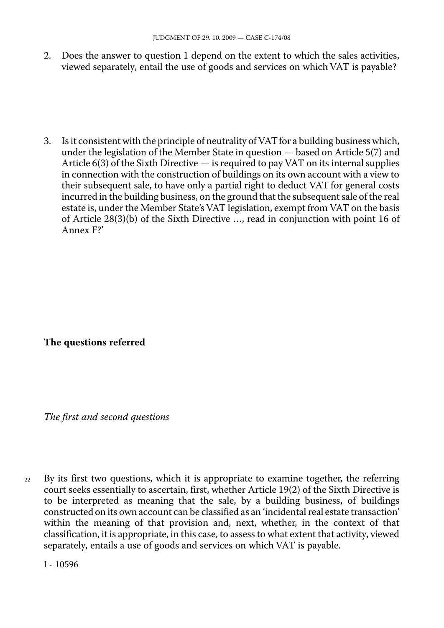2. Does the answer to question 1 depend on the extent to which the sales activities, viewed separately, entail the use of goods and services on which VAT is payable?

3. Is it consistent with the principle of neutrality of VATfor a building business which, under the legislation of the Member State in question — based on Article 5(7) and Article 6(3) of the Sixth Directive — is required to pay VAT on its internal supplies in connection with the construction of buildings on its own account with a view to their subsequent sale, to have only a partial right to deduct VAT for general costs incurred in the building business, on the ground that the subsequent sale of the real estate is, under the Member State's VAT legislation, exempt from VAT on the basis of Article 28(3)(b) of the Sixth Directive …, read in conjunction with point 16 of Annex F?'

# **The questions referred**

*The first and second questions* 

By its first two questions, which it is appropriate to examine together, the referring court seeks essentially to ascertain, first, whether Article 19(2) of the Sixth Directive is to be interpreted as meaning that the sale, by a building business, of buildings constructed on its own account can be classified as an 'incidental real estate transaction' within the meaning of that provision and, next, whether, in the context of that classification, it is appropriate, in this case, to assess to what extent that activity, viewed separately, entails a use of goods and services on which VAT is payable.  $22$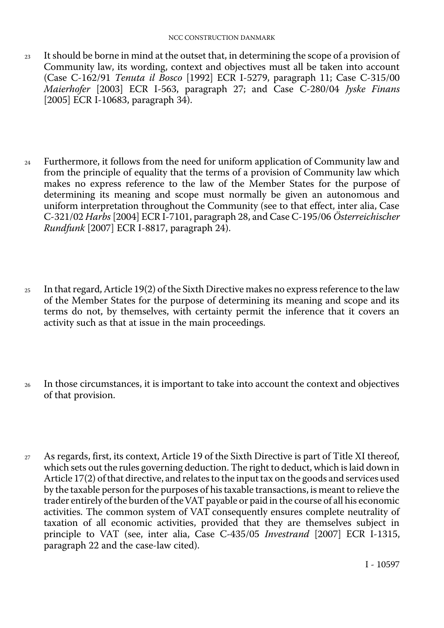- <sup>23</sup> It should be borne in mind at the outset that, in determining the scope of a provision of Community law, its wording, context and objectives must all be taken into account (Case C-162/91 *Tenuta il Bosco* [1992] ECR I-5279, paragraph 11; Case C-315/00 *Maierhofer* [2003] ECR I-563, paragraph 27; and Case C-280/04 *Jyske Finans*  [2005] ECR I-10683, paragraph 34).
- <sup>24</sup> Furthermore, it follows from the need for uniform application of Community law and from the principle of equality that the terms of a provision of Community law which makes no express reference to the law of the Member States for the purpose of determining its meaning and scope must normally be given an autonomous and uniform interpretation throughout the Community (see to that effect, inter alia, Case C-321/02 *Harbs* [2004] ECR I-7101, paragraph 28, and Case C-195/06 *Österreichischer Rundfunk* [2007] ECR I-8817, paragraph 24).
- <sup>25</sup> In that regard, Article 19(2) of the Sixth Directive makes no express reference to the law of the Member States for the purpose of determining its meaning and scope and its terms do not, by themselves, with certainty permit the inference that it covers an activity such as that at issue in the main proceedings.
- <sup>26</sup> In those circumstances, it is important to take into account the context and objectives of that provision.
- <sup>27</sup> As regards, first, its context, Article 19 of the Sixth Directive is part of Title XI thereof, which sets out the rules governing deduction. The right to deduct, which is laid down in Article 17(2) of that directive, and relates to the input tax on the goods and services used by the taxable person for the purposes of his taxable transactions, is meant to relieve the trader entirely of the burden of theVAT payable or paid in the course of all his economic activities. The common system of VAT consequently ensures complete neutrality of taxation of all economic activities, provided that they are themselves subject in principle to VAT (see, inter alia, Case C-435/05 *Investrand* [2007] ECR I-1315, paragraph 22 and the case-law cited).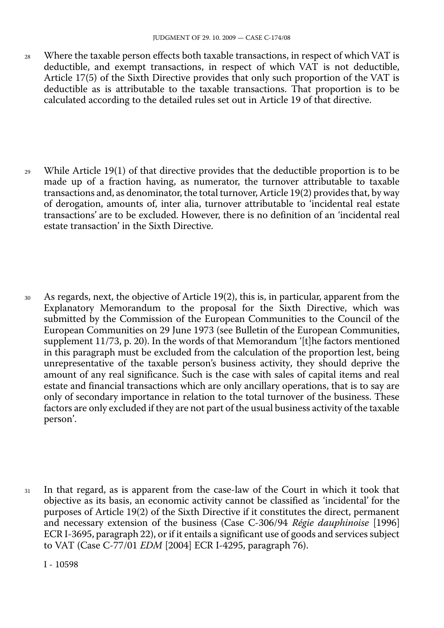- 28 Where the taxable person effects both taxable transactions, in respect of which VAT is deductible, and exempt transactions, in respect of which VAT is not deductible, Article 17(5) of the Sixth Directive provides that only such proportion of the VAT is deductible as is attributable to the taxable transactions. That proportion is to be calculated according to the detailed rules set out in Article 19 of that directive.
- 29 While Article 19(1) of that directive provides that the deductible proportion is to be made up of a fraction having, as numerator, the turnover attributable to taxable transactions and, as denominator, the total turnover, Article 19(2) provides that, by way of derogation, amounts of, inter alia, turnover attributable to 'incidental real estate transactions' are to be excluded. However, there is no definition of an 'incidental real estate transaction' in the Sixth Directive.
- 30 As regards, next, the objective of Article 19(2), this is, in particular, apparent from the Explanatory Memorandum to the proposal for the Sixth Directive, which was submitted by the Commission of the European Communities to the Council of the European Communities on 29 June 1973 (see Bulletin of the European Communities, supplement 11/73, p. 20). In the words of that Memorandum '[t]he factors mentioned in this paragraph must be excluded from the calculation of the proportion lest, being unrepresentative of the taxable person's business activity, they should deprive the amount of any real significance. Such is the case with sales of capital items and real estate and financial transactions which are only ancillary operations, that is to say are only of secondary importance in relation to the total turnover of the business. These factors are only excluded if they are not part of the usual business activity of the taxable person'.
- 31 In that regard, as is apparent from the case-law of the Court in which it took that objective as its basis, an economic activity cannot be classified as 'incidental' for the purposes of Article 19(2) of the Sixth Directive if it constitutes the direct, permanent and necessary extension of the business (Case C-306/94 *Régie dauphinoise* [1996] ECR I-3695, paragraph 22), or if it entails a significant use of goods and services subject to VAT (Case C-77/01 *EDM* [2004] ECR I-4295, paragraph 76).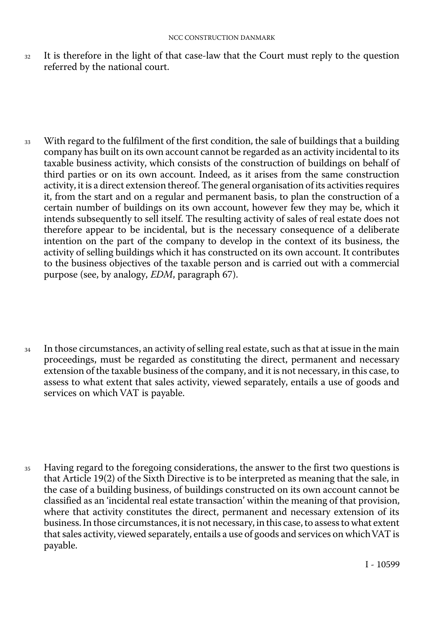<sup>32</sup> It is therefore in the light of that case-law that the Court must reply to the question referred by the national court.

<sup>33</sup> With regard to the fulfilment of the first condition, the sale of buildings that a building company has built on its own account cannot be regarded as an activity incidental to its taxable business activity, which consists of the construction of buildings on behalf of third parties or on its own account. Indeed, as it arises from the same construction activity, it is a direct extension thereof. The general organisation of its activities requires it, from the start and on a regular and permanent basis, to plan the construction of a certain number of buildings on its own account, however few they may be, which it intends subsequently to sell itself. The resulting activity of sales of real estate does not therefore appear to be incidental, but is the necessary consequence of a deliberate intention on the part of the company to develop in the context of its business, the activity of selling buildings which it has constructed on its own account. It contributes to the business objectives of the taxable person and is carried out with a commercial purpose (see, by analogy, *EDM*, paragraph 67).

- <sup>34</sup> In those circumstances, an activity of selling real estate, such as that at issue in the main proceedings, must be regarded as constituting the direct, permanent and necessary extension of the taxable business of the company, and it is not necessary, in this case, to assess to what extent that sales activity, viewed separately, entails a use of goods and services on which VAT is payable.
- <sup>35</sup> Having regard to the foregoing considerations, the answer to the first two questions is that Article 19(2) of the Sixth Directive is to be interpreted as meaning that the sale, in the case of a building business, of buildings constructed on its own account cannot be classified as an 'incidental real estate transaction' within the meaning of that provision, where that activity constitutes the direct, permanent and necessary extension of its business. In those circumstances, it is not necessary, in this case, to assess to what extent that sales activity, viewed separately, entails a use of goods and services on which VAT is payable.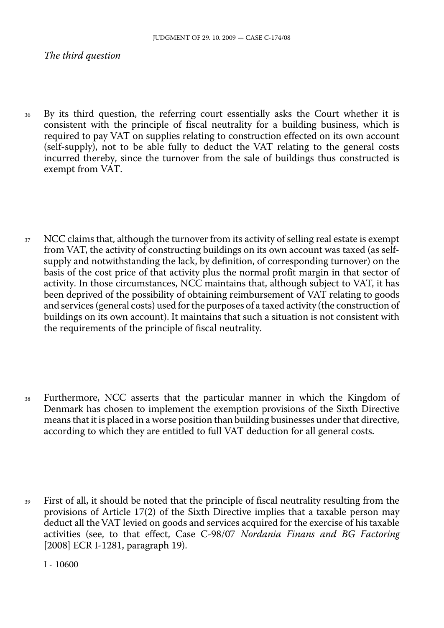*The third question* 

- <sup>36</sup> By its third question, the referring court essentially asks the Court whether it is consistent with the principle of fiscal neutrality for a building business, which is required to pay VAT on supplies relating to construction effected on its own account (self-supply), not to be able fully to deduct the VAT relating to the general costs incurred thereby, since the turnover from the sale of buildings thus constructed is exempt from VAT.
- 37 NCC claims that, although the turnover from its activity of selling real estate is exempt from VAT, the activity of constructing buildings on its own account was taxed (as selfsupply and notwithstanding the lack, by definition, of corresponding turnover) on the basis of the cost price of that activity plus the normal profit margin in that sector of activity. In those circumstances, NCC maintains that, although subject to VAT, it has been deprived of the possibility of obtaining reimbursement of VAT relating to goods and services (general costs) used for the purposes of a taxed activity (the construction of buildings on its own account). It maintains that such a situation is not consistent with the requirements of the principle of fiscal neutrality.
- <sup>38</sup> Furthermore, NCC asserts that the particular manner in which the Kingdom of Denmark has chosen to implement the exemption provisions of the Sixth Directive means that it is placed in a worse position than building businesses under that directive, according to which they are entitled to full VAT deduction for all general costs.
- <sup>39</sup> First of all, it should be noted that the principle of fiscal neutrality resulting from the provisions of Article 17(2) of the Sixth Directive implies that a taxable person may deduct all the VAT levied on goods and services acquired for the exercise of his taxable activities (see, to that effect, Case C-98/07 *Nordania Finans and BG Factoring*  [2008] ECR I-1281, paragraph 19).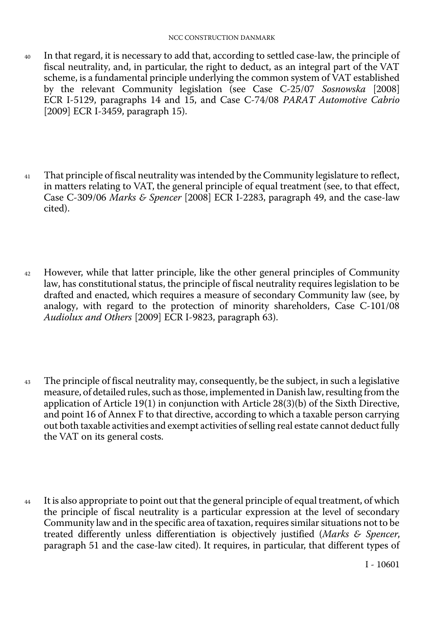- <sup>40</sup> In that regard, it is necessary to add that, according to settled case-law, the principle of fiscal neutrality, and, in particular, the right to deduct, as an integral part of the VAT scheme, is a fundamental principle underlying the common system of VAT established by the relevant Community legislation (see Case C-25/07 *Sosnowska* [2008] ECR I-5129, paragraphs 14 and 15, and Case C-74/08 *PARAT Automotive Cabrio*  [2009] ECR I-3459, paragraph 15).
- <sup>41</sup> That principle of fiscal neutrality was intended by the Community legislature to reflect, in matters relating to VAT, the general principle of equal treatment (see, to that effect, Case C-309/06 *Marks & Spencer* [2008] ECR I-2283, paragraph 49, and the case-law cited).
- <sup>42</sup> However, while that latter principle, like the other general principles of Community law, has constitutional status, the principle of fiscal neutrality requires legislation to be drafted and enacted, which requires a measure of secondary Community law (see, by analogy, with regard to the protection of minority shareholders, Case C-101/08 *Audiolux and Others* [2009] ECR I-9823, paragraph 63).
- <sup>43</sup> The principle of fiscal neutrality may, consequently, be the subject, in such a legislative measure, of detailed rules, such as those, implemented in Danish law, resulting from the application of Article 19(1) in conjunction with Article 28(3)(b) of the Sixth Directive, and point 16 of Annex F to that directive, according to which a taxable person carrying out both taxable activities and exempt activities of selling real estate cannot deduct fully the VAT on its general costs.
- <sup>44</sup> It is also appropriate to point out that the general principle of equal treatment, of which the principle of fiscal neutrality is a particular expression at the level of secondary Community law and in the specific area of taxation, requires similar situations not to be treated differently unless differentiation is objectively justified (*Marks & Spencer*, paragraph 51 and the case-law cited). It requires, in particular, that different types of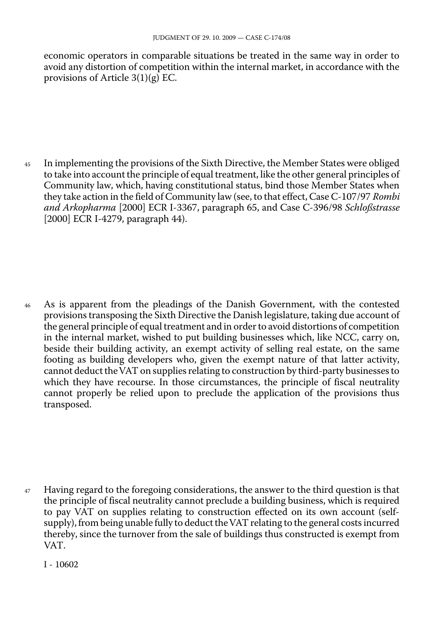economic operators in comparable situations be treated in the same way in order to avoid any distortion of competition within the internal market, in accordance with the provisions of Article 3(1)(g) EC.

<sup>45</sup> In implementing the provisions of the Sixth Directive, the Member States were obliged to take into account the principle of equal treatment, like the other general principles of Community law, which, having constitutional status, bind those Member States when they take action in the field of Community law (see, to that effect, Case C-107/97 *Rombi and Arkopharma* [2000] ECR I-3367, paragraph 65, and Case C-396/98 *Schloßstrasse*  [2000] ECR I-4279, paragraph 44).

<sup>46</sup> As is apparent from the pleadings of the Danish Government, with the contested provisions transposing the Sixth Directive the Danish legislature, taking due account of the general principle of equal treatment and in order to avoid distortions of competition in the internal market, wished to put building businesses which, like NCC, carry on, beside their building activity, an exempt activity of selling real estate, on the same footing as building developers who, given the exempt nature of that latter activity, cannot deduct theVAT on supplies relating to construction by third-party businesses to which they have recourse. In those circumstances, the principle of fiscal neutrality cannot properly be relied upon to preclude the application of the provisions thus transposed.

<sup>47</sup> Having regard to the foregoing considerations, the answer to the third question is that the principle of fiscal neutrality cannot preclude a building business, which is required to pay VAT on supplies relating to construction effected on its own account (selfsupply), from being unable fully to deduct theVAT relating to the general costs incurred thereby, since the turnover from the sale of buildings thus constructed is exempt from VAT.